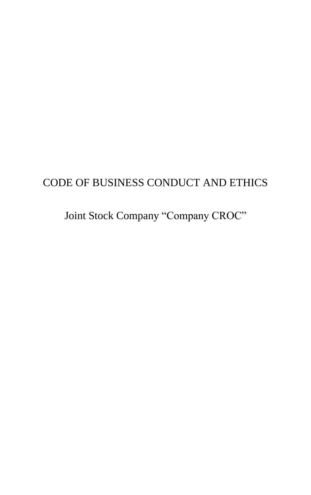# CODE OF BUSINESS CONDUCT AND ETHICS

Joint Stock Company "Company CROC"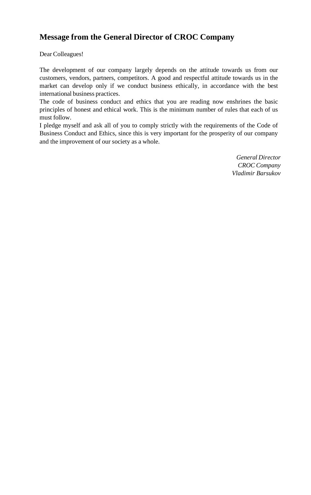### **Message from the General Director of CROC Company**

Dear Colleagues!

The development of our company largely depends on the attitude towards us from our customers, vendors, partners, competitors. A good and respectful attitude towards us in the market can develop only if we conduct business ethically, in accordance with the best international business practices.

The code of business conduct and ethics that you are reading now enshrines the basic principles of honest and ethical work. This is the minimum number of rules that each of us must follow.

I pledge myself and ask all of you to comply strictly with the requirements of the Code of Business Conduct and Ethics, since this is very important for the prosperity of our company and the improvement of our society as a whole.

> *General Director CROC Company Vladimir Barsukov*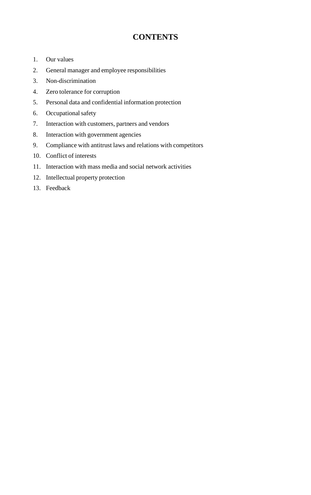### **CONTENTS**

- 1. Our values
- 2. General manager and employee responsibilities
- 3. Non-discrimination
- 4. Zero tolerance for corruption
- 5. Personal data and confidential information protection
- 6. Occupational safety
- 7. Interaction with customers, partners and vendors
- 8. Interaction with government agencies
- 9. Compliance with antitrust laws and relations with competitors
- 10. Conflict of interests
- 11. Interaction with mass media and social network activities
- 12. Intellectual property protection
- 13. Feedback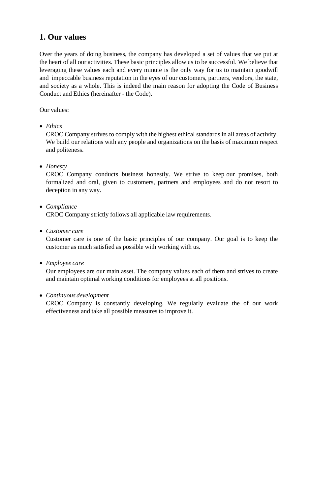### **1. Our values**

Over the years of doing business, the company has developed a set of values that we put at the heart of all our activities. These basic principles allow us to be successful. We believe that leveraging these values each and every minute is the only way for us to maintain goodwill and impeccable business reputation in the eyes of our customers, partners, vendors, the state, and society as a whole. This is indeed the main reason for adopting the Code of Business Conduct and Ethics (hereinafter - the Code).

Our values:

• *Ethics*

CROC Company strives to comply with the highest ethical standards in all areas of activity. We build our relations with any people and organizations on the basis of maximum respect and politeness.

• *Honesty*

CROC Company conducts business honestly. We strive to keep our promises, both formalized and oral, given to customers, partners and employees and do not resort to deception in any way.

#### • *Compliance*

CROC Company strictly follows all applicable law requirements.

• *Customer care*

Customer care is one of the basic principles of our company. Our goal is to keep the customer as much satisfied as possible with working with us.

• *Employee care*

Our employees are our main asset. The company values each of them and strives to create and maintain optimal working conditions for employees at all positions.

#### • *Continuous development*

CROC Company is constantly developing. We regularly evaluate the of our work effectiveness and take all possible measures to improve it.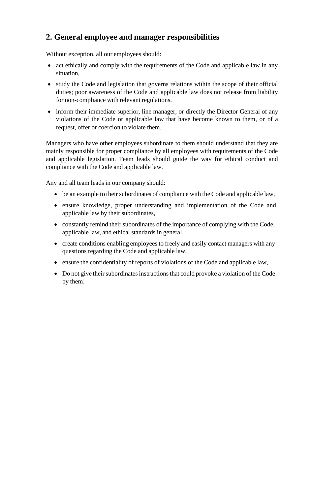### **2. General employee and manager responsibilities**

Without exception, all our employees should:

- act ethically and comply with the requirements of the Code and applicable law in any situation,
- study the Code and legislation that governs relations within the scope of their official duties; poor awareness of the Code and applicable law does not release from liability for non-compliance with relevant regulations,
- inform their immediate superior, line manager, or directly the Director General of any violations of the Code or applicable law that have become known to them, or of a request, offer or coercion to violate them.

Managers who have other employees subordinate to them should understand that they are mainly responsible for proper compliance by all employees with requirements of the Code and applicable legislation. Team leads should guide the way for ethical conduct and compliance with the Code and applicable law.

Any and all team leads in our company should:

- be an example to their subordinates of compliance with the Code and applicable law,
- ensure knowledge, proper understanding and implementation of the Code and applicable law by their subordinates,
- constantly remind their subordinates of the importance of complying with the Code, applicable law, and ethical standards in general,
- create conditions enabling employees to freely and easily contact managers with any questions regarding the Code and applicable law,
- ensure the confidentiality of reports of violations of the Code and applicable law,
- Do not give their subordinates instructions that could provoke a violation of the Code by them.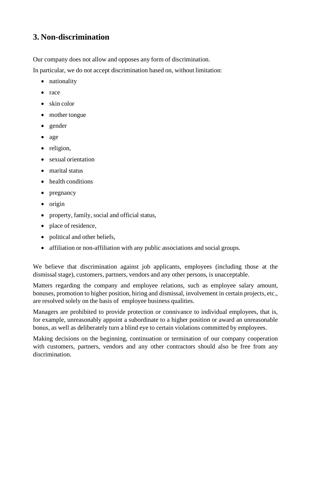#### **3. Non-discrimination**

Our company does not allow and opposes any form of discrimination.

In particular, we do not accept discrimination based on, without limitation:

- nationality
- race
- skin color
- mother tongue
- gender
- age
- religion,
- sexual orientation
- marital status
- health conditions
- pregnancy
- origin
- property, family, social and official status,
- place of residence,
- political and other beliefs,
- affiliation or non-affiliation with any public associations and social groups.

We believe that discrimination against job applicants, employees (including those at the dismissal stage), customers, partners, vendors and any other persons, is unacceptable.

Matters regarding the company and employee relations, such as employee salary amount, bonuses, promotion to higher position, hiring and dismissal, involvement in certain projects, etc., are resolved solely on the basis of employee business qualities.

Managers are prohibited to provide protection or connivance to individual employees, that is, for example, unreasonably appoint a subordinate to a higher position or award an unreasonable bonus, as well as deliberately turn a blind eye to certain violations committed by employees.

Making decisions on the beginning, continuation or termination of our company cooperation with customers, partners, vendors and any other contractors should also be free from any discrimination.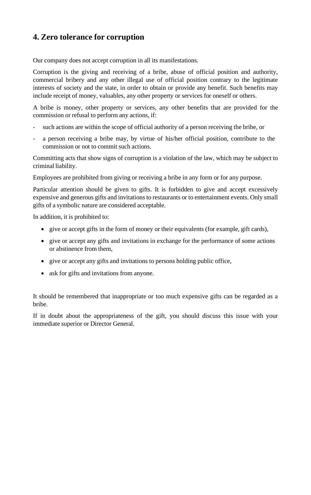### **4. Zero tolerance for corruption**

Our company does not accept corruption in all its manifestations.

Corruption is the giving and receiving of a bribe, abuse of official position and authority, commercial bribery and any other illegal use of official position contrary to the legitimate interests of society and the state, in order to obtain or provide any benefit. Such benefits may include receipt of money, valuables, any other property or services for oneself or others.

A bribe is money, other property or services, any other benefits that are provided for the commission or refusal to perform any actions, if:

- such actions are within the scope of official authority of a person receiving the bribe, or
- a person receiving a bribe may, by virtue of his/her official position, contribute to the commission or not to commit such actions.

Committing acts that show signs of corruption is a violation of the law, which may be subject to criminal liability.

Employees are prohibited from giving or receiving a bribe in any form or for any purpose.

Particular attention should be given to gifts. It is forbidden to give and accept excessively expensive and generous gifts and invitations to restaurants or to entertainment events. Only small gifts of a symbolic nature are considered acceptable.

In addition, it is prohibited to:

- give or accept gifts in the form of money or their equivalents (for example, gift cards),
- give or accept any gifts and invitations in exchange for the performance of some actions or abstinence from them,
- give or accept any gifts and invitations to persons holding public office,
- ask for gifts and invitations from anyone.

It should be remembered that inappropriate or too much expensive gifts can be regarded as a bribe.

If in doubt about the appropriateness of the gift, you should discuss this issue with your immediate superior or Director General.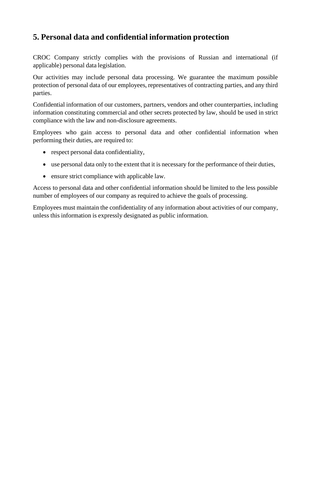### **5. Personal data and confidential information protection**

CROC Company strictly complies with the provisions of Russian and international (if applicable) personal data legislation.

Our activities may include personal data processing. We guarantee the maximum possible protection of personal data of our employees, representatives of contracting parties, and any third parties.

Confidential information of our customers, partners, vendors and other counterparties, including information constituting commercial and other secrets protected by law, should be used in strict compliance with the law and non-disclosure agreements.

Employees who gain access to personal data and other confidential information when performing their duties, are required to:

- respect personal data confidentiality,
- use personal data only to the extent that it is necessary for the performance of their duties,
- ensure strict compliance with applicable law.

Access to personal data and other confidential information should be limited to the less possible number of employees of our company as required to achieve the goals of processing.

Employees must maintain the confidentiality of any information about activities of our company, unless this information is expressly designated as public information.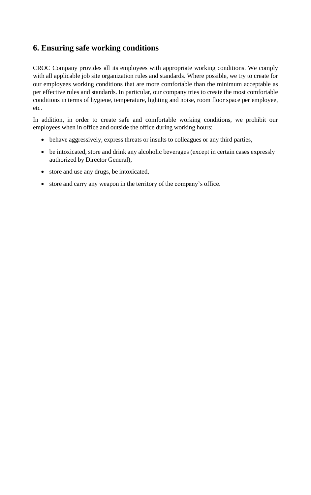#### **6. Ensuring safe working conditions**

CROC Company provides all its employees with appropriate working conditions. We comply with all applicable job site organization rules and standards. Where possible, we try to create for our employees working conditions that are more comfortable than the minimum acceptable as per effective rules and standards. In particular, our company tries to create the most comfortable conditions in terms of hygiene, temperature, lighting and noise, room floor space per employee, etc.

In addition, in order to create safe and comfortable working conditions, we prohibit our employees when in office and outside the office during working hours:

- behave aggressively, express threats or insults to colleagues or any third parties,
- be intoxicated, store and drink any alcoholic beverages (except in certain cases expressly authorized by Director General),
- store and use any drugs, be intoxicated,
- store and carry any weapon in the territory of the company's office.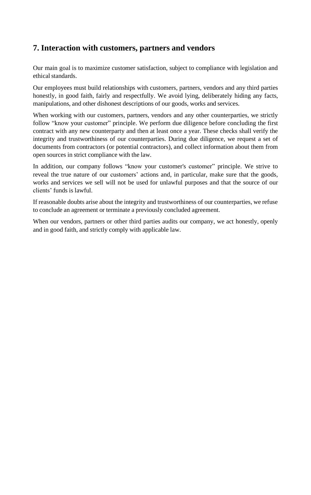#### **7. Interaction with customers, partners and vendors**

Our main goal is to maximize customer satisfaction, subject to compliance with legislation and ethical standards.

Our employees must build relationships with customers, partners, vendors and any third parties honestly, in good faith, fairly and respectfully. We avoid lying, deliberately hiding any facts, manipulations, and other dishonest descriptions of our goods, works and services.

When working with our customers, partners, vendors and any other counterparties, we strictly follow "know your customer" principle. We perform due diligence before concluding the first contract with any new counterparty and then at least once a year. These checks shall verify the integrity and trustworthiness of our counterparties. During due diligence, we request a set of documents from contractors (or potential contractors), and collect information about them from open sources in strict compliance with the law.

In addition, our company follows "know your customer's customer" principle. We strive to reveal the true nature of our customers' actions and, in particular, make sure that the goods, works and services we sell will not be used for unlawful purposes and that the source of our clients' funds is lawful.

If reasonable doubts arise about the integrity and trustworthiness of our counterparties, we refuse to conclude an agreement or terminate a previously concluded agreement.

When our vendors, partners or other third parties audits our company, we act honestly, openly and in good faith, and strictly comply with applicable law.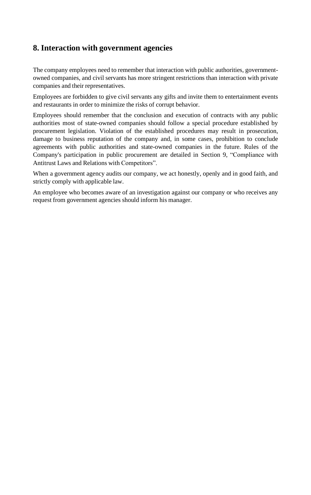#### **8. Interaction with government agencies**

The company employees need to remember that interaction with public authorities, governmentowned companies, and civil servants has more stringent restrictions than interaction with private companies and their representatives.

Employees are forbidden to give civil servants any gifts and invite them to entertainment events and restaurants in order to minimize the risks of corrupt behavior.

Employees should remember that the conclusion and execution of contracts with any public authorities most of state-owned companies should follow a special procedure established by procurement legislation. Violation of the established procedures may result in prosecution, damage to business reputation of the company and, in some cases, prohibition to conclude agreements with public authorities and state-owned companies in the future. Rules of the Company's participation in public procurement are detailed in Section 9, "Compliance with Antitrust Laws and Relations with Competitors".

When a government agency audits our company, we act honestly, openly and in good faith, and strictly comply with applicable law.

An employee who becomes aware of an investigation against our company or who receives any request from government agencies should inform his manager.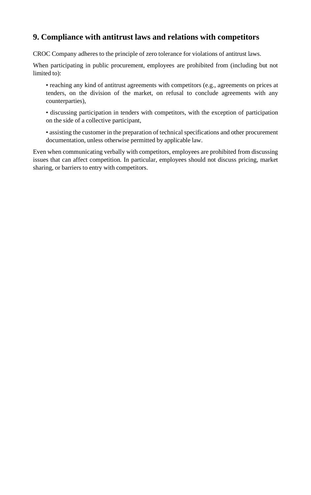### **9. Compliance with antitrust laws and relations with competitors**

CROC Company adheres to the principle of zero tolerance for violations of antitrust laws.

When participating in public procurement, employees are prohibited from (including but not limited to):

• reaching any kind of antitrust agreements with competitors (e.g., agreements on prices at tenders, on the division of the market, on refusal to conclude agreements with any counterparties),

• discussing participation in tenders with competitors, with the exception of participation on the side of a collective participant,

• assisting the customer in the preparation of technical specifications and other procurement documentation, unless otherwise permitted by applicable law.

Even when communicating verbally with competitors, employees are prohibited from discussing issues that can affect competition. In particular, employees should not discuss pricing, market sharing, or barriers to entry with competitors.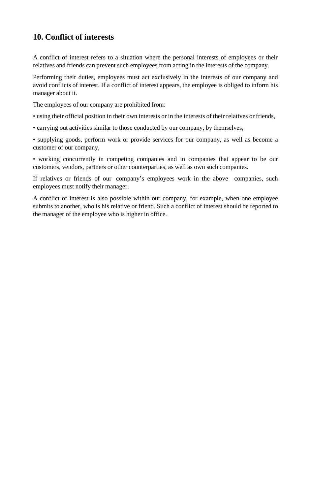#### **10. Conflict of interests**

A conflict of interest refers to a situation where the personal interests of employees or their relatives and friends can prevent such employees from acting in the interests of the company.

Performing their duties, employees must act exclusively in the interests of our company and avoid conflicts of interest. If a conflict of interest appears, the employee is obliged to inform his manager about it.

The employees of our company are prohibited from:

• using their official position in their own interests or in the interests of their relatives or friends,

• carrying out activities similar to those conducted by our company, by themselves,

• supplying goods, perform work or provide services for our company, as well as become a customer of our company,

• working concurrently in competing companies and in companies that appear to be our customers, vendors, partners or other counterparties, as well as own such companies.

If relatives or friends of our company's employees work in the above companies, such employees must notify their manager.

A conflict of interest is also possible within our company, for example, when one employee submits to another, who is his relative or friend. Such a conflict of interest should be reported to the manager of the employee who is higher in office.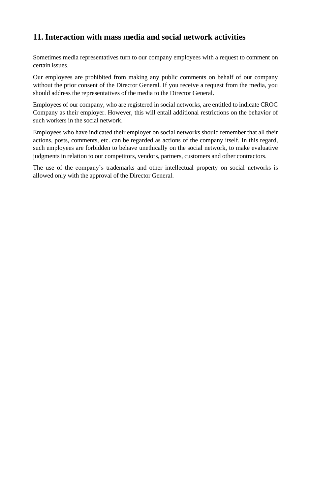# **11. Interaction with mass media and social network activities**

Sometimes media representatives turn to our company employees with a request to comment on certain issues.

Our employees are prohibited from making any public comments on behalf of our company without the prior consent of the Director General. If you receive a request from the media, you should address the representatives of the media to the Director General.

Employees of our company, who are registered in social networks, are entitled to indicate CROC Company as their employer. However, this will entail additional restrictions on the behavior of such workers in the social network.

Employees who have indicated their employer on social networks should remember that all their actions, posts, comments, etc. can be regarded as actions of the company itself. In this regard, such employees are forbidden to behave unethically on the social network, to make evaluative judgments in relation to our competitors, vendors, partners, customers and other contractors.

The use of the company's trademarks and other intellectual property on social networks is allowed only with the approval of the Director General.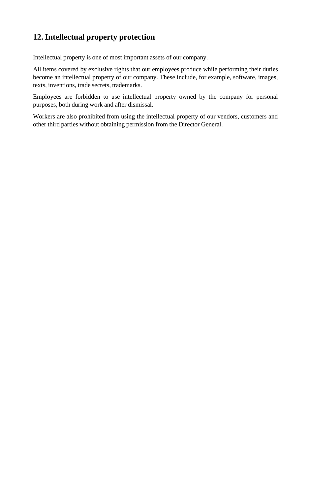# **12. Intellectual property protection**

Intellectual property is one of most important assets of our company.

All items covered by exclusive rights that our employees produce while performing their duties become an intellectual property of our company. These include, for example, software, images, texts, inventions, trade secrets, trademarks.

Employees are forbidden to use intellectual property owned by the company for personal purposes, both during work and after dismissal.

Workers are also prohibited from using the intellectual property of our vendors, customers and other third parties without obtaining permission from the Director General.